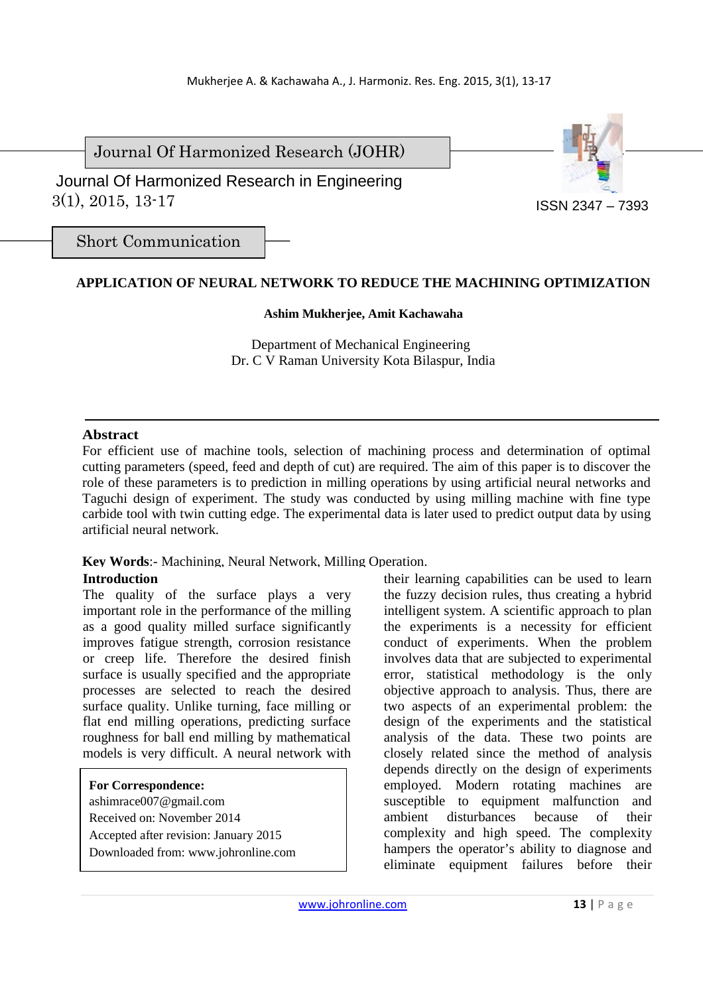Journal Of Harmonized Research (JOHR)

 3(1), 2015, 13-17 Journal Of Harmonized Research in Engineering

Short Communication

# **APPLICATION OF NEURAL NETWORK TO REDUCE THE MACHINING OPTIMIZATION**

#### **Ashim Mukherjee, Amit Kachawaha**

Department of Mechanical Engineering Dr. C V Raman University Kota Bilaspur, India

### **Abstract**

For efficient use of machine tools, selection of machining process and determination of optimal cutting parameters (speed, feed and depth of cut) are required. The aim of this paper is to discover the role of these parameters is to prediction in milling operations by using artificial neural networks and Taguchi design of experiment. The study was conducted by using milling machine with fine type carbide tool with twin cutting edge. The experimental data is later used to predict output data by using artificial neural network.

# **Key Words**:- Machining, Neural Network, Milling Operation.

### **Introduction**

The quality of the surface plays a very important role in the performance of the milling as a good quality milled surface significantly improves fatigue strength, corrosion resistance or creep life. Therefore the desired finish surface is usually specified and the appropriate processes are selected to reach the desired surface quality. Unlike turning, face milling or flat end milling operations, predicting surface roughness for ball end milling by mathematical models is very difficult. A neural network with

### **For Correspondence:**

ashimrace007@gmail.com Received on: November 2014 Accepted after revision: January 2015 Downloaded from: www.johronline.com

their learning capabilities can be used to learn the fuzzy decision rules, thus creating a hybrid intelligent system. A scientific approach to plan the experiments is a necessity for efficient conduct of experiments. When the problem involves data that are subjected to experimental error, statistical methodology is the only objective approach to analysis. Thus, there are two aspects of an experimental problem: the design of the experiments and the statistical analysis of the data. These two points are closely related since the method of analysis depends directly on the design of experiments employed. Modern rotating machines are susceptible to equipment malfunction and ambient disturbances because of their complexity and high speed. The complexity hampers the operator's ability to diagnose and eliminate equipment failures before their

ISSN 2347 – 7393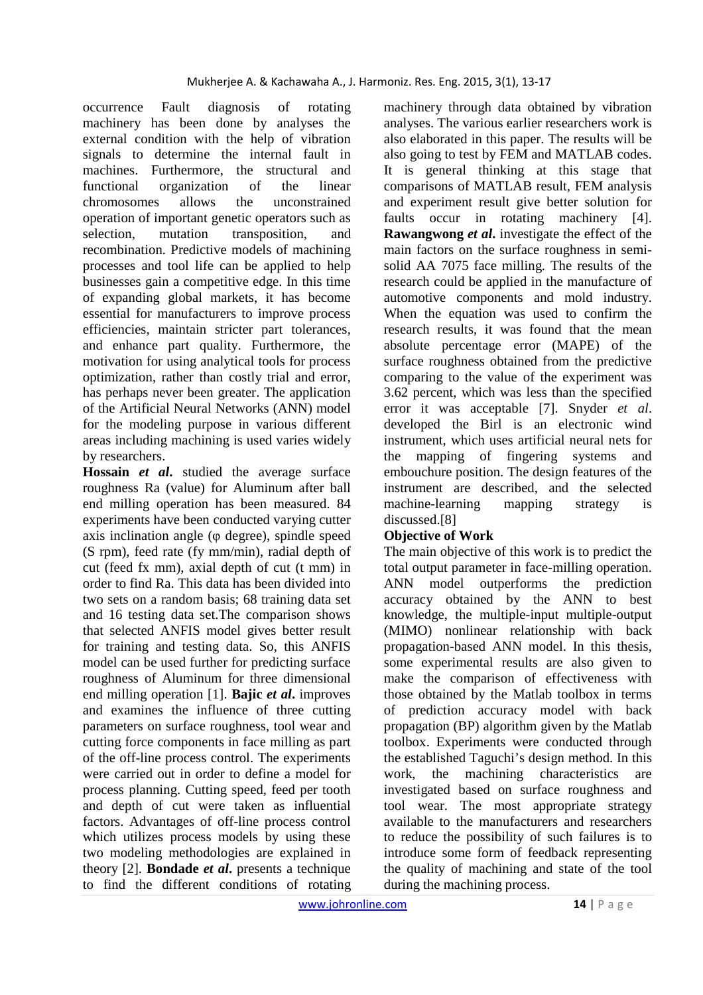occurrence Fault diagnosis of rotating machinery has been done by analyses the external condition with the help of vibration signals to determine the internal fault in machines. Furthermore, the structural and functional organization of the linear chromosomes allows the unconstrained operation of important genetic operators such as selection, mutation transposition, and recombination. Predictive models of machining processes and tool life can be applied to help businesses gain a competitive edge. In this time of expanding global markets, it has become essential for manufacturers to improve process efficiencies, maintain stricter part tolerances, and enhance part quality. Furthermore, the motivation for using analytical tools for process optimization, rather than costly trial and error, has perhaps never been greater. The application of the Artificial Neural Networks (ANN) model for the modeling purpose in various different areas including machining is used varies widely by researchers.

**Hossain** *et al***.** studied the average surface roughness Ra (value) for Aluminum after ball end milling operation has been measured. 84 experiments have been conducted varying cutter axis inclination angle (φ degree), spindle speed (S rpm), feed rate (fy mm/min), radial depth of cut (feed fx mm), axial depth of cut (t mm) in order to find Ra. This data has been divided into two sets on a random basis; 68 training data set and 16 testing data set.The comparison shows that selected ANFIS model gives better result for training and testing data. So, this ANFIS model can be used further for predicting surface roughness of Aluminum for three dimensional end milling operation [1]. **Bajic** *et al***.** improves and examines the influence of three cutting parameters on surface roughness, tool wear and cutting force components in face milling as part of the off-line process control. The experiments were carried out in order to define a model for process planning. Cutting speed, feed per tooth and depth of cut were taken as influential factors. Advantages of off-line process control which utilizes process models by using these two modeling methodologies are explained in theory [2]. **Bondade** *et al***.** presents a technique to find the different conditions of rotating

machinery through data obtained by vibration analyses. The various earlier researchers work is also elaborated in this paper. The results will be also going to test by FEM and MATLAB codes. It is general thinking at this stage that comparisons of MATLAB result, FEM analysis and experiment result give better solution for faults occur in rotating machinery [4]. **Rawangwong** *et al***.** investigate the effect of the main factors on the surface roughness in semisolid AA 7075 face milling. The results of the research could be applied in the manufacture of automotive components and mold industry. When the equation was used to confirm the research results, it was found that the mean absolute percentage error (MAPE) of the surface roughness obtained from the predictive comparing to the value of the experiment was 3.62 percent, which was less than the specified error it was acceptable [7]. Snyder *et al*. developed the Birl is an electronic wind instrument, which uses artificial neural nets for the mapping of fingering systems and embouchure position. The design features of the instrument are described, and the selected machine-learning mapping strategy is discussed.[8]

# **Objective of Work**

The main objective of this work is to predict the total output parameter in face-milling operation. ANN model outperforms the prediction accuracy obtained by the ANN to best knowledge, the multiple-input multiple-output (MIMO) nonlinear relationship with back propagation-based ANN model. In this thesis, some experimental results are also given to make the comparison of effectiveness with those obtained by the Matlab toolbox in terms of prediction accuracy model with back propagation (BP) algorithm given by the Matlab toolbox. Experiments were conducted through the established Taguchi's design method. In this work, the machining characteristics are investigated based on surface roughness and tool wear. The most appropriate strategy available to the manufacturers and researchers to reduce the possibility of such failures is to introduce some form of feedback representing the quality of machining and state of the tool during the machining process.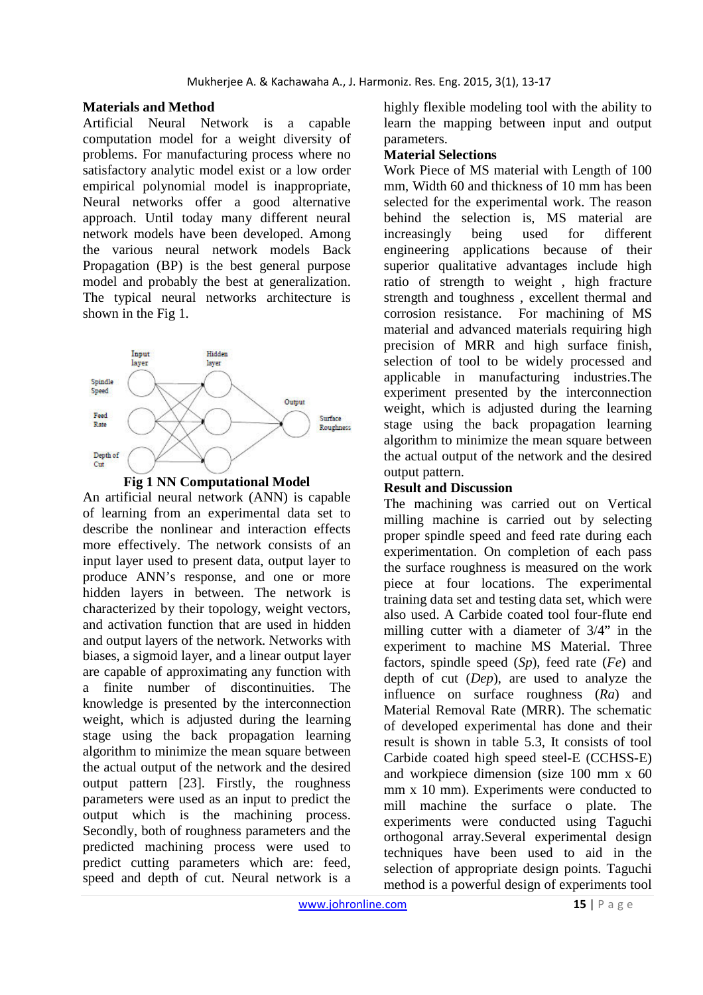## **Materials and Method**

Artificial Neural Network is a capable computation model for a weight diversity of problems. For manufacturing process where no satisfactory analytic model exist or a low order empirical polynomial model is inappropriate, Neural networks offer a good alternative approach. Until today many different neural network models have been developed. Among the various neural network models Back Propagation (BP) is the best general purpose model and probably the best at generalization. The typical neural networks architecture is shown in the Fig 1.





An artificial neural network (ANN) is capable of learning from an experimental data set to describe the nonlinear and interaction effects more effectively. The network consists of an input layer used to present data, output layer to produce ANN's response, and one or more hidden layers in between. The network is characterized by their topology, weight vectors, and activation function that are used in hidden and output layers of the network. Networks with biases, a sigmoid layer, and a linear output layer are capable of approximating any function with a finite number of discontinuities. The knowledge is presented by the interconnection weight, which is adjusted during the learning stage using the back propagation learning algorithm to minimize the mean square between the actual output of the network and the desired output pattern [23]. Firstly, the roughness parameters were used as an input to predict the output which is the machining process. Secondly, both of roughness parameters and the predicted machining process were used to predict cutting parameters which are: feed, speed and depth of cut. Neural network is a

highly flexible modeling tool with the ability to learn the mapping between input and output parameters.

## **Material Selections**

Work Piece of MS material with Length of 100 mm, Width 60 and thickness of 10 mm has been selected for the experimental work. The reason behind the selection is, MS material are increasingly being used for different engineering applications because of their superior qualitative advantages include high ratio of strength to weight , high fracture strength and toughness , excellent thermal and corrosion resistance. For machining of MS material and advanced materials requiring high precision of MRR and high surface finish, selection of tool to be widely processed and applicable in manufacturing industries.The experiment presented by the interconnection weight, which is adjusted during the learning stage using the back propagation learning algorithm to minimize the mean square between the actual output of the network and the desired output pattern.

# **Result and Discussion**

The machining was carried out on Vertical milling machine is carried out by selecting proper spindle speed and feed rate during each experimentation. On completion of each pass the surface roughness is measured on the work piece at four locations. The experimental training data set and testing data set, which were also used. A Carbide coated tool four-flute end milling cutter with a diameter of 3/4" in the experiment to machine MS Material. Three factors, spindle speed (*Sp*), feed rate (*Fe*) and depth of cut (*Dep*), are used to analyze the influence on surface roughness (*Ra*) and Material Removal Rate (MRR). The schematic of developed experimental has done and their result is shown in table 5.3, It consists of tool Carbide coated high speed steel-E (CCHSS-E) and workpiece dimension (size 100 mm x 60 mm x 10 mm). Experiments were conducted to mill machine the surface o plate. The experiments were conducted using Taguchi orthogonal array.Several experimental design techniques have been used to aid in the selection of appropriate design points. Taguchi method is a powerful design of experiments tool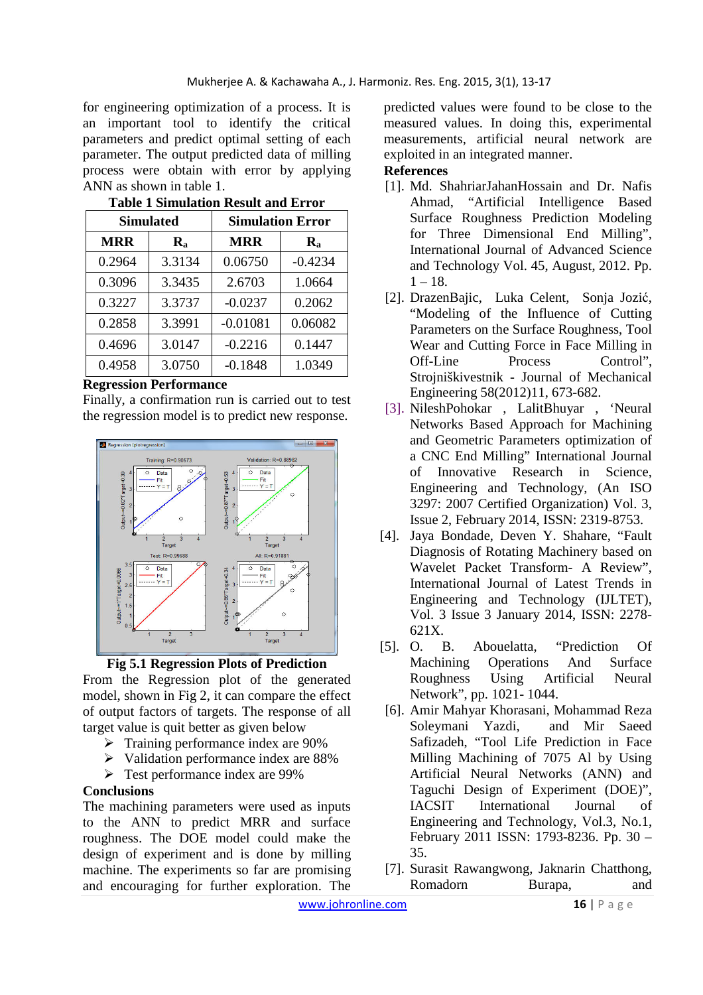for engineering optimization of a process. It is an important tool to identify the critical parameters and predict optimal setting of each parameter. The output predicted data of milling process were obtain with error by applying ANN as shown in table 1.

| <b>Simulated</b> |                           | <b>Simulation Error</b> |                  |
|------------------|---------------------------|-------------------------|------------------|
| <b>MRR</b>       | $\mathbf{R}_{\mathbf{a}}$ | <b>MRR</b>              | $\mathbf{R}_{a}$ |
| 0.2964           | 3.3134                    | 0.06750                 | $-0.4234$        |
| 0.3096           | 3.3435                    | 2.6703                  | 1.0664           |
| 0.3227           | 3.3737                    | $-0.0237$               | 0.2062           |
| 0.2858           | 3.3991                    | $-0.01081$              | 0.06082          |
| 0.4696           | 3.0147                    | $-0.2216$               | 0.1447           |
| 0.4958           | 3.0750                    | $-0.1848$               | 1.0349           |

## **Table 1 Simulation Result and Error**

### **Regression Performance**

Finally, a confirmation run is carried out to test the regression model is to predict new response.



**Fig 5.1 Regression Plots of Prediction**

From the Regression plot of the generated model, shown in Fig 2, it can compare the effect of output factors of targets. The response of all target value is quit better as given below

- $\triangleright$  Training performance index are 90%
- $\triangleright$  Validation performance index are 88%
- Test performance index are 99%

# **Conclusions**

The machining parameters were used as inputs to the ANN to predict MRR and surface roughness. The DOE model could make the design of experiment and is done by milling machine. The experiments so far are promising and encouraging for further exploration. The

predicted values were found to be close to the measured values. In doing this, experimental measurements, artificial neural network are exploited in an integrated manner. **References** 

## [1]. Md. ShahriarJahanHossain and Dr. Nafis Ahmad, "Artificial Intelligence Based Surface Roughness Prediction Modeling for Three Dimensional End Milling", International Journal of Advanced Science and Technology Vol. 45, August, 2012. Pp.  $1 - 18$ .

- [2]. DrazenBajic, Luka Celent, Sonja Jozić, "Modeling of the Influence of Cutting Parameters on the Surface Roughness, Tool Wear and Cutting Force in Face Milling in Off-Line Process Control", Strojniškivestnik - Journal of Mechanical Engineering 58(2012)11, 673-682.
- [3]. NileshPohokar , LalitBhuyar , 'Neural Networks Based Approach for Machining and Geometric Parameters optimization of a CNC End Milling" International Journal of Innovative Research in Science, Engineering and Technology, (An ISO 3297: 2007 Certified Organization) Vol. 3, Issue 2, February 2014, ISSN: 2319-8753.
- [4]. Jaya Bondade, Deven Y. Shahare, "Fault Diagnosis of Rotating Machinery based on Wavelet Packet Transform- A Review", International Journal of Latest Trends in Engineering and Technology (IJLTET), Vol. 3 Issue 3 January 2014, ISSN: 2278- 621X.
- [5]. O. B. Abouelatta, "Prediction Of Machining Operations And Surface Roughness Using Artificial Neural Network", pp. 1021- 1044.
- [6]. Amir Mahyar Khorasani, Mohammad Reza Soleymani Yazdi, and Mir Saeed Safizadeh, "Tool Life Prediction in Face Milling Machining of 7075 Al by Using Artificial Neural Networks (ANN) and Taguchi Design of Experiment (DOE)", IACSIT International Journal of Engineering and Technology, Vol.3, No.1, February 2011 ISSN: 1793-8236. Pp. 30 – 35.
- [7]. Surasit Rawangwong, Jaknarin Chatthong, Romadorn Burapa, and